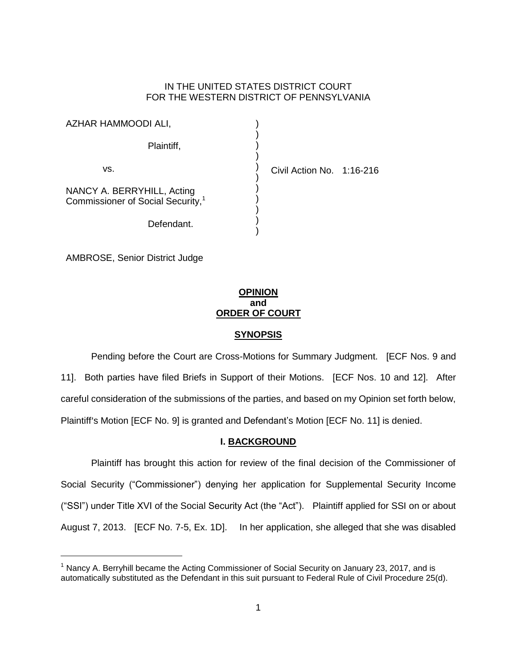# IN THE UNITED STATES DISTRICT COURT FOR THE WESTERN DISTRICT OF PENNSYLVANIA

| AZHAR HAMMOODI ALI,                                                         |                           |  |
|-----------------------------------------------------------------------------|---------------------------|--|
| Plaintiff,                                                                  |                           |  |
| vs.                                                                         | Civil Action No. 1:16-216 |  |
| NANCY A. BERRYHILL, Acting<br>Commissioner of Social Security, <sup>1</sup> |                           |  |
| Defendant.                                                                  |                           |  |

AMBROSE, Senior District Judge

 $\overline{a}$ 

# **OPINION and ORDER OF COURT**

# **SYNOPSIS**

Pending before the Court are Cross-Motions for Summary Judgment. [ECF Nos. 9 and 11]. Both parties have filed Briefs in Support of their Motions. [ECF Nos. 10 and 12]. After careful consideration of the submissions of the parties, and based on my Opinion set forth below, Plaintiff's Motion [ECF No. 9] is granted and Defendant's Motion [ECF No. 11] is denied.

# **I. BACKGROUND**

Plaintiff has brought this action for review of the final decision of the Commissioner of Social Security ("Commissioner") denying her application for Supplemental Security Income ("SSI") under Title XVI of the Social Security Act (the "Act"). Plaintiff applied for SSI on or about August 7, 2013. [ECF No. 7-5, Ex. 1D]. In her application, she alleged that she was disabled

 $<sup>1</sup>$  Nancy A. Berryhill became the Acting Commissioner of Social Security on January 23, 2017, and is</sup> automatically substituted as the Defendant in this suit pursuant to Federal Rule of Civil Procedure 25(d).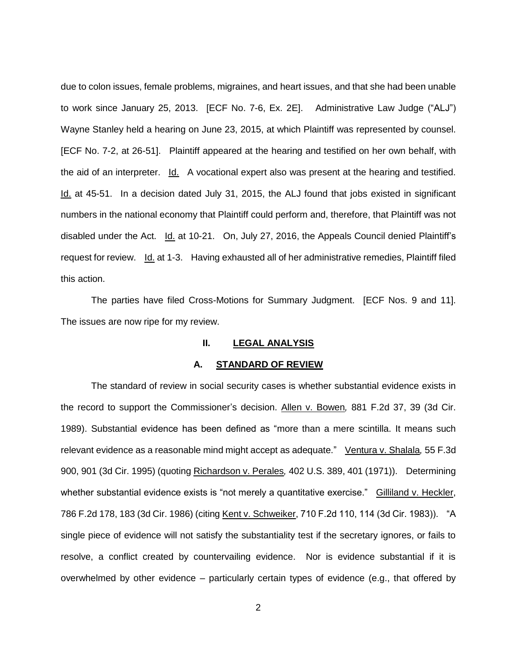due to colon issues, female problems, migraines, and heart issues, and that she had been unable to work since January 25, 2013. [ECF No. 7-6, Ex. 2E]. Administrative Law Judge ("ALJ") Wayne Stanley held a hearing on June 23, 2015, at which Plaintiff was represented by counsel. [ECF No. 7-2, at 26-51]. Plaintiff appeared at the hearing and testified on her own behalf, with the aid of an interpreter. Id. A vocational expert also was present at the hearing and testified. Id. at 45-51. In a decision dated July 31, 2015, the ALJ found that jobs existed in significant numbers in the national economy that Plaintiff could perform and, therefore, that Plaintiff was not disabled under the Act. Id. at 10-21. On, July 27, 2016, the Appeals Council denied Plaintiff's request for review. Id. at 1-3. Having exhausted all of her administrative remedies, Plaintiff filed this action.

The parties have filed Cross-Motions for Summary Judgment. [ECF Nos. 9 and 11]. The issues are now ripe for my review.

#### **II. LEGAL ANALYSIS**

#### **A. STANDARD OF REVIEW**

The standard of review in social security cases is whether substantial evidence exists in the record to support the Commissioner's decision. Allen v. Bowen*,* 881 F.2d 37, 39 (3d Cir. 1989). Substantial evidence has been defined as "more than a mere scintilla. It means such relevant evidence as a reasonable mind might accept as adequate." Ventura v. Shalala*,* 55 F.3d 900, 901 (3d Cir. 1995) (quoting Richardson v. Perales*,* 402 U.S. 389, 401 (1971)). Determining whether substantial evidence exists is "not merely a quantitative exercise." Gilliland v. Heckler, 786 F.2d 178, 183 (3d Cir. 1986) (citing Kent v. Schweiker, 710 F.2d 110, 114 (3d Cir. 1983)). "A single piece of evidence will not satisfy the substantiality test if the secretary ignores, or fails to resolve, a conflict created by countervailing evidence. Nor is evidence substantial if it is overwhelmed by other evidence – particularly certain types of evidence (e.g., that offered by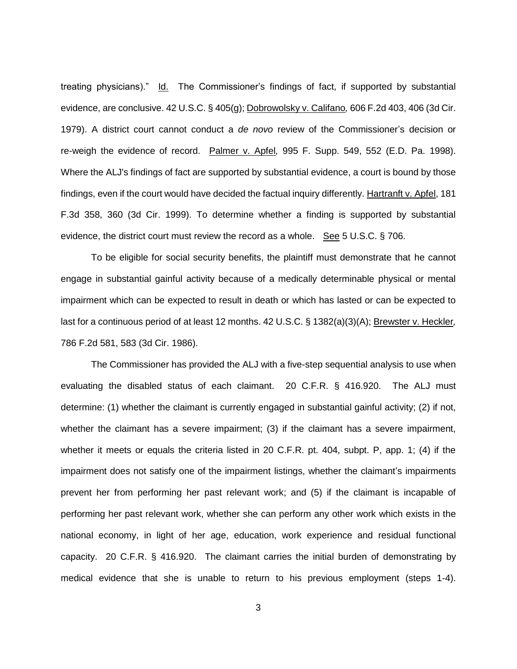treating physicians)." Id. The Commissioner's findings of fact, if supported by substantial evidence, are conclusive. 42 U.S.C. § 405(g); Dobrowolsky v. Califano*,* 606 F.2d 403, 406 (3d Cir. 1979). A district court cannot conduct a *de novo* review of the Commissioner's decision or re-weigh the evidence of record. Palmer v. Apfel*,* 995 F. Supp. 549, 552 (E.D. Pa. 1998). Where the ALJ's findings of fact are supported by substantial evidence, a court is bound by those findings, even if the court would have decided the factual inquiry differently. Hartranft v. Apfel, 181 F.3d 358, 360 (3d Cir. 1999). To determine whether a finding is supported by substantial evidence, the district court must review the record as a whole. See 5 U.S.C.  $\S$  706.

To be eligible for social security benefits, the plaintiff must demonstrate that he cannot engage in substantial gainful activity because of a medically determinable physical or mental impairment which can be expected to result in death or which has lasted or can be expected to last for a continuous period of at least 12 months. 42 U.S.C. § 1382(a)(3)(A); Brewster v. Heckler*,*  786 F.2d 581, 583 (3d Cir. 1986).

The Commissioner has provided the ALJ with a five-step sequential analysis to use when evaluating the disabled status of each claimant. 20 C.F.R. § 416.920. The ALJ must determine: (1) whether the claimant is currently engaged in substantial gainful activity; (2) if not, whether the claimant has a severe impairment; (3) if the claimant has a severe impairment, whether it meets or equals the criteria listed in 20 C.F.R. pt. 404, subpt. P, app. 1; (4) if the impairment does not satisfy one of the impairment listings, whether the claimant's impairments prevent her from performing her past relevant work; and (5) if the claimant is incapable of performing her past relevant work, whether she can perform any other work which exists in the national economy, in light of her age, education, work experience and residual functional capacity. 20 C.F.R. § 416.920. The claimant carries the initial burden of demonstrating by medical evidence that she is unable to return to his previous employment (steps 1-4).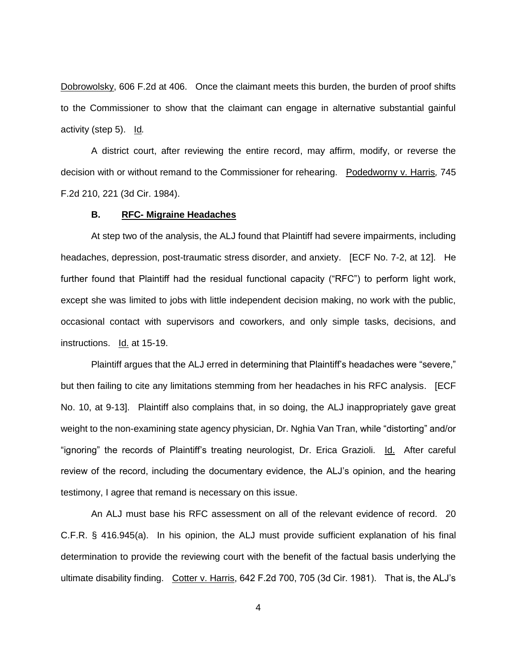Dobrowolsky, 606 F.2d at 406. Once the claimant meets this burden, the burden of proof shifts to the Commissioner to show that the claimant can engage in alternative substantial gainful activity (step 5). Id*.*

A district court, after reviewing the entire record, may affirm, modify, or reverse the decision with or without remand to the Commissioner for rehearing. Podedworny v. Harris*,* 745 F.2d 210, 221 (3d Cir. 1984).

### **B. RFC- Migraine Headaches**

At step two of the analysis, the ALJ found that Plaintiff had severe impairments, including headaches, depression, post-traumatic stress disorder, and anxiety. [ECF No. 7-2, at 12]. He further found that Plaintiff had the residual functional capacity ("RFC") to perform light work, except she was limited to jobs with little independent decision making, no work with the public, occasional contact with supervisors and coworkers, and only simple tasks, decisions, and instructions. Id. at 15-19.

Plaintiff argues that the ALJ erred in determining that Plaintiff's headaches were "severe," but then failing to cite any limitations stemming from her headaches in his RFC analysis. [ECF No. 10, at 9-13]. Plaintiff also complains that, in so doing, the ALJ inappropriately gave great weight to the non-examining state agency physician, Dr. Nghia Van Tran, while "distorting" and/or "ignoring" the records of Plaintiff's treating neurologist, Dr. Erica Grazioli. Id. After careful review of the record, including the documentary evidence, the ALJ's opinion, and the hearing testimony, I agree that remand is necessary on this issue.

An ALJ must base his RFC assessment on all of the relevant evidence of record. 20 C.F.R. § 416.945(a). In his opinion, the ALJ must provide sufficient explanation of his final determination to provide the reviewing court with the benefit of the factual basis underlying the ultimate disability finding. Cotter v. Harris, 642 F.2d 700, 705 (3d Cir. 1981). That is, the ALJ's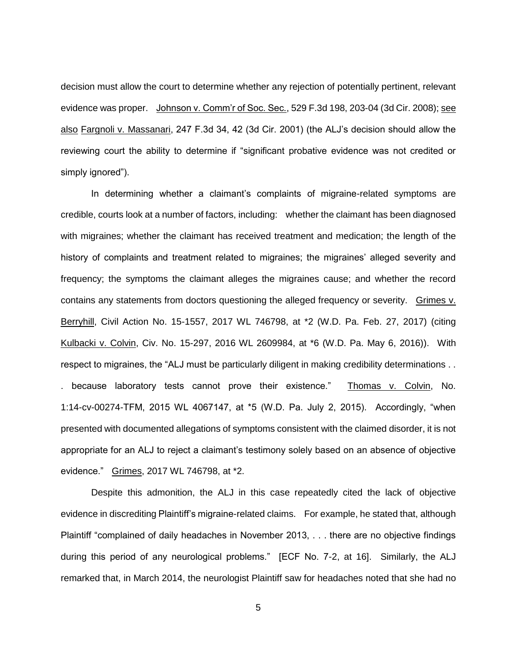decision must allow the court to determine whether any rejection of potentially pertinent, relevant evidence was proper. Johnson v. Comm'r of Soc. Sec., 529 F.3d 198, 203-04 (3d Cir. 2008); see also Fargnoli v. Massanari, 247 F.3d 34, 42 (3d Cir. 2001) (the ALJ's decision should allow the reviewing court the ability to determine if "significant probative evidence was not credited or simply ignored").

In determining whether a claimant's complaints of migraine-related symptoms are credible, courts look at a number of factors, including: whether the claimant has been diagnosed with migraines; whether the claimant has received treatment and medication; the length of the history of complaints and treatment related to migraines; the migraines' alleged severity and frequency; the symptoms the claimant alleges the migraines cause; and whether the record contains any statements from doctors questioning the alleged frequency or severity. Grimes v. Berryhill, Civil Action No. 15-1557, 2017 WL 746798, at \*2 (W.D. Pa. Feb. 27, 2017) (citing Kulbacki v. Colvin, Civ. No. 15-297, 2016 WL 2609984, at \*6 (W.D. Pa. May 6, 2016)). With respect to migraines, the "ALJ must be particularly diligent in making credibility determinations . . . because laboratory tests cannot prove their existence." Thomas v. Colvin, No. 1:14-cv-00274-TFM, 2015 WL 4067147, at \*5 (W.D. Pa. July 2, 2015). Accordingly, "when presented with documented allegations of symptoms consistent with the claimed disorder, it is not appropriate for an ALJ to reject a claimant's testimony solely based on an absence of objective evidence." Grimes, 2017 WL 746798, at \*2.

Despite this admonition, the ALJ in this case repeatedly cited the lack of objective evidence in discrediting Plaintiff's migraine-related claims. For example, he stated that, although Plaintiff "complained of daily headaches in November 2013, . . . there are no objective findings during this period of any neurological problems." [ECF No. 7-2, at 16]. Similarly, the ALJ remarked that, in March 2014, the neurologist Plaintiff saw for headaches noted that she had no

5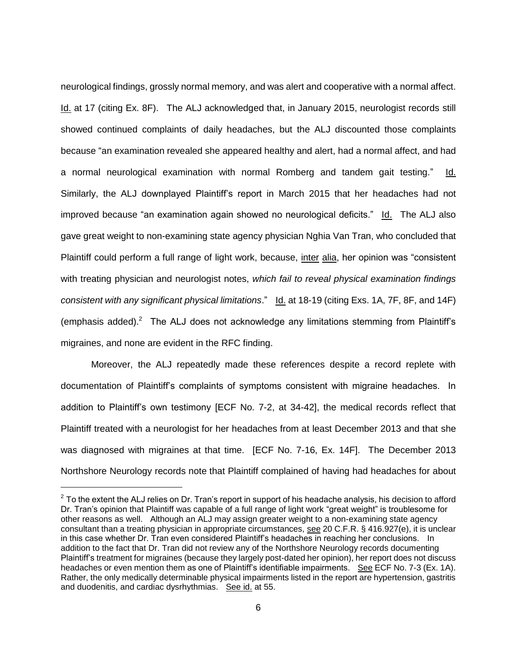neurological findings, grossly normal memory, and was alert and cooperative with a normal affect. Id. at 17 (citing Ex. 8F). The ALJ acknowledged that, in January 2015, neurologist records still showed continued complaints of daily headaches, but the ALJ discounted those complaints because "an examination revealed she appeared healthy and alert, had a normal affect, and had a normal neurological examination with normal Romberg and tandem gait testing." Id. Similarly, the ALJ downplayed Plaintiff's report in March 2015 that her headaches had not improved because "an examination again showed no neurological deficits." Id. The ALJ also gave great weight to non-examining state agency physician Nghia Van Tran, who concluded that Plaintiff could perform a full range of light work, because, inter alia, her opinion was "consistent with treating physician and neurologist notes, *which fail to reveal physical examination findings consistent with any significant physical limitations*." Id. at 18-19 (citing Exs. 1A, 7F, 8F, and 14F) (emphasis added). $2$  The ALJ does not acknowledge any limitations stemming from Plaintiff's migraines, and none are evident in the RFC finding.

Moreover, the ALJ repeatedly made these references despite a record replete with documentation of Plaintiff's complaints of symptoms consistent with migraine headaches. In addition to Plaintiff's own testimony [ECF No. 7-2, at 34-42], the medical records reflect that Plaintiff treated with a neurologist for her headaches from at least December 2013 and that she was diagnosed with migraines at that time. [ECF No. 7-16, Ex. 14F]. The December 2013 Northshore Neurology records note that Plaintiff complained of having had headaches for about

 $\overline{a}$ 

 $2$  To the extent the ALJ relies on Dr. Tran's report in support of his headache analysis, his decision to afford Dr. Tran's opinion that Plaintiff was capable of a full range of light work "great weight" is troublesome for other reasons as well. Although an ALJ may assign greater weight to a non-examining state agency consultant than a treating physician in appropriate circumstances, see 20 C.F.R. § 416.927(e), it is unclear in this case whether Dr. Tran even considered Plaintiff's headaches in reaching her conclusions. In addition to the fact that Dr. Tran did not review any of the Northshore Neurology records documenting Plaintiff's treatment for migraines (because they largely post-dated her opinion), her report does not discuss headaches or even mention them as one of Plaintiff's identifiable impairments. See ECF No. 7-3 (Ex. 1A). Rather, the only medically determinable physical impairments listed in the report are hypertension, gastritis and duodenitis, and cardiac dysrhythmias. See id. at 55.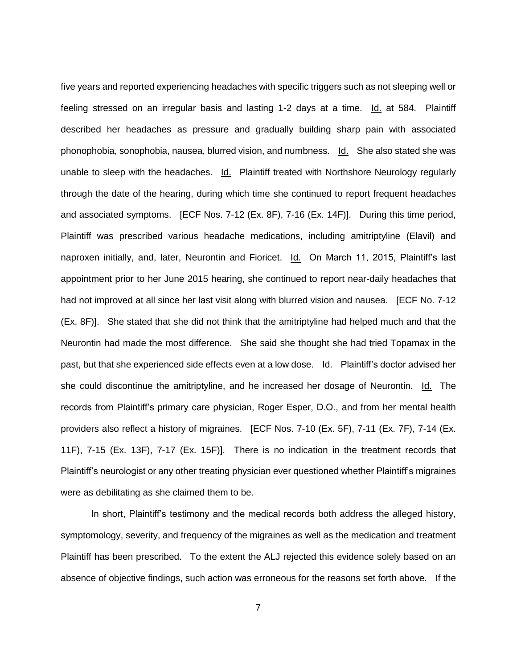five years and reported experiencing headaches with specific triggers such as not sleeping well or feeling stressed on an irregular basis and lasting 1-2 days at a time. Id. at 584. Plaintiff described her headaches as pressure and gradually building sharp pain with associated phonophobia, sonophobia, nausea, blurred vision, and numbness. Id. She also stated she was unable to sleep with the headaches. Id. Plaintiff treated with Northshore Neurology regularly through the date of the hearing, during which time she continued to report frequent headaches and associated symptoms. [ECF Nos. 7-12 (Ex. 8F), 7-16 (Ex. 14F)]. During this time period, Plaintiff was prescribed various headache medications, including amitriptyline (Elavil) and naproxen initially, and, later, Neurontin and Fioricet. Id. On March 11, 2015, Plaintiff's last appointment prior to her June 2015 hearing, she continued to report near-daily headaches that had not improved at all since her last visit along with blurred vision and nausea. [ECF No. 7-12] (Ex. 8F)]. She stated that she did not think that the amitriptyline had helped much and that the Neurontin had made the most difference. She said she thought she had tried Topamax in the past, but that she experienced side effects even at a low dose. Id. Plaintiff's doctor advised her she could discontinue the amitriptyline, and he increased her dosage of Neurontin. Id. The records from Plaintiff's primary care physician, Roger Esper, D.O., and from her mental health providers also reflect a history of migraines. [ECF Nos. 7-10 (Ex. 5F), 7-11 (Ex. 7F), 7-14 (Ex. 11F), 7-15 (Ex. 13F), 7-17 (Ex. 15F)]. There is no indication in the treatment records that Plaintiff's neurologist or any other treating physician ever questioned whether Plaintiff's migraines were as debilitating as she claimed them to be.

In short, Plaintiff's testimony and the medical records both address the alleged history, symptomology, severity, and frequency of the migraines as well as the medication and treatment Plaintiff has been prescribed. To the extent the ALJ rejected this evidence solely based on an absence of objective findings, such action was erroneous for the reasons set forth above. If the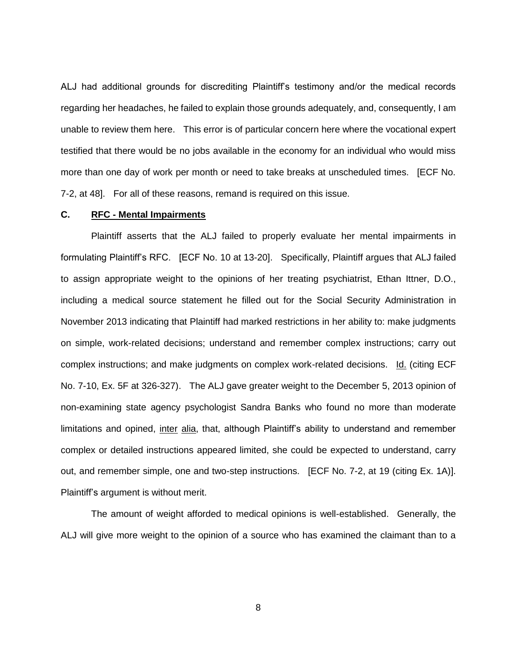ALJ had additional grounds for discrediting Plaintiff's testimony and/or the medical records regarding her headaches, he failed to explain those grounds adequately, and, consequently, I am unable to review them here. This error is of particular concern here where the vocational expert testified that there would be no jobs available in the economy for an individual who would miss more than one day of work per month or need to take breaks at unscheduled times. [ECF No. 7-2, at 48]. For all of these reasons, remand is required on this issue.

### **C. RFC - Mental Impairments**

Plaintiff asserts that the ALJ failed to properly evaluate her mental impairments in formulating Plaintiff's RFC. [ECF No. 10 at 13-20]. Specifically, Plaintiff argues that ALJ failed to assign appropriate weight to the opinions of her treating psychiatrist, Ethan Ittner, D.O., including a medical source statement he filled out for the Social Security Administration in November 2013 indicating that Plaintiff had marked restrictions in her ability to: make judgments on simple, work-related decisions; understand and remember complex instructions; carry out complex instructions; and make judgments on complex work-related decisions. Id. (citing ECF No. 7-10, Ex. 5F at 326-327). The ALJ gave greater weight to the December 5, 2013 opinion of non-examining state agency psychologist Sandra Banks who found no more than moderate limitations and opined, inter alia, that, although Plaintiff's ability to understand and remember complex or detailed instructions appeared limited, she could be expected to understand, carry out, and remember simple, one and two-step instructions. [ECF No. 7-2, at 19 (citing Ex. 1A)]. Plaintiff's argument is without merit.

The amount of weight afforded to medical opinions is well-established. Generally, the ALJ will give more weight to the opinion of a source who has examined the claimant than to a

8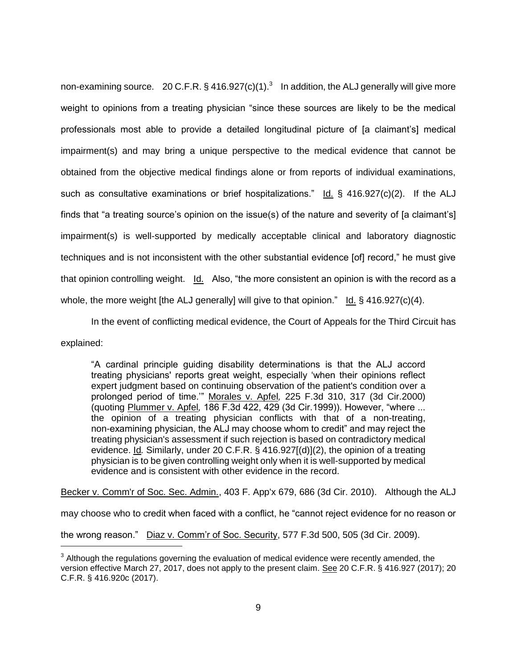non-examining source.  $20$  C.F.R. § 416.927(c)(1).<sup>3</sup> In addition, the ALJ generally will give more weight to opinions from a treating physician "since these sources are likely to be the medical professionals most able to provide a detailed longitudinal picture of [a claimant's] medical impairment(s) and may bring a unique perspective to the medical evidence that cannot be obtained from the objective medical findings alone or from reports of individual examinations, such as consultative examinations or brief hospitalizations." Id.  $\S$  416.927(c)(2). If the ALJ finds that "a treating source's opinion on the issue(s) of the nature and severity of [a claimant's] impairment(s) is well-supported by medically acceptable clinical and laboratory diagnostic techniques and is not inconsistent with the other substantial evidence [of] record," he must give that opinion controlling weight. Id. Also, "the more consistent an opinion is with the record as a whole, the more weight [the ALJ generally] will give to that opinion." Id.  $\S$  416.927(c)(4).

In the event of conflicting medical evidence, the Court of Appeals for the Third Circuit has

explained:

 $\overline{a}$ 

"A cardinal principle guiding disability determinations is that the ALJ accord treating physicians' reports great weight, especially 'when their opinions reflect expert judgment based on continuing observation of the patient's condition over a prolonged period of time.'" Morales v. Apfel*,* 225 F.3d 310, 317 (3d Cir.2000) (quoting Plummer v. Apfel*,* 186 F.3d 422, 429 (3d Cir.1999)). However, "where ... the opinion of a treating physician conflicts with that of a non-treating, non-examining physician, the ALJ may choose whom to credit" and may reject the treating physician's assessment if such rejection is based on contradictory medical evidence. Id*.* Similarly, under 20 C.F.R. § 416.927[(d)](2), the opinion of a treating physician is to be given controlling weight only when it is well-supported by medical evidence and is consistent with other evidence in the record.

Becker v. Comm'r of Soc. Sec. Admin., 403 F. App'x 679, 686 (3d Cir. 2010). Although the ALJ

may choose who to credit when faced with a conflict, he "cannot reject evidence for no reason or

the wrong reason." Diaz v. Comm'r of Soc. Security, 577 F.3d 500, 505 (3d Cir. 2009).

 $3$  Although the regulations governing the evaluation of medical evidence were recently amended, the version effective March 27, 2017, does not apply to the present claim. See [20 C.F.R. § 416.927 \(2017\);](https://1.next.westlaw.com/Link/Document/FullText?findType=L&pubNum=1000547&cite=20CFRS416.927&originatingDoc=Ic8016140313911e7815ea6969ee18a03&refType=LQ&originationContext=document&transitionType=DocumentItem&contextData=(sc.Search)) [20](https://1.next.westlaw.com/Link/Document/FullText?findType=L&pubNum=1000547&cite=20CFRS416.920C&originatingDoc=Ic8016140313911e7815ea6969ee18a03&refType=LQ&originationContext=document&transitionType=DocumentItem&contextData=(sc.Search))  [C.F.R. § 416.920c](https://1.next.westlaw.com/Link/Document/FullText?findType=L&pubNum=1000547&cite=20CFRS416.920C&originatingDoc=Ic8016140313911e7815ea6969ee18a03&refType=LQ&originationContext=document&transitionType=DocumentItem&contextData=(sc.Search)) (2017).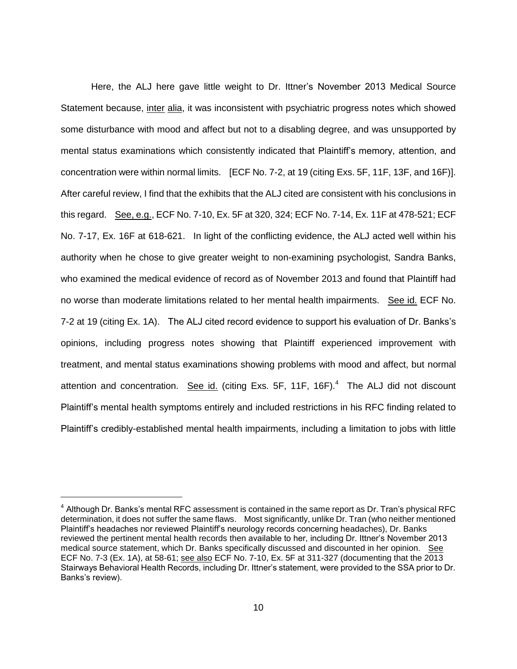Here, the ALJ here gave little weight to Dr. Ittner's November 2013 Medical Source Statement because, inter alia, it was inconsistent with psychiatric progress notes which showed some disturbance with mood and affect but not to a disabling degree, and was unsupported by mental status examinations which consistently indicated that Plaintiff's memory, attention, and concentration were within normal limits. [ECF No. 7-2, at 19 (citing Exs. 5F, 11F, 13F, and 16F)]. After careful review, I find that the exhibits that the ALJ cited are consistent with his conclusions in this regard. See, e.g., ECF No. 7-10, Ex. 5F at 320, 324; ECF No. 7-14, Ex. 11F at 478-521; ECF No. 7-17, Ex. 16F at 618-621. In light of the conflicting evidence, the ALJ acted well within his authority when he chose to give greater weight to non-examining psychologist, Sandra Banks, who examined the medical evidence of record as of November 2013 and found that Plaintiff had no worse than moderate limitations related to her mental health impairments. See id. ECF No. 7-2 at 19 (citing Ex. 1A). The ALJ cited record evidence to support his evaluation of Dr. Banks's opinions, including progress notes showing that Plaintiff experienced improvement with treatment, and mental status examinations showing problems with mood and affect, but normal attention and concentration. See id. (citing Exs. 5F, 11F, 16F).<sup>4</sup> The ALJ did not discount Plaintiff's mental health symptoms entirely and included restrictions in his RFC finding related to Plaintiff's credibly-established mental health impairments, including a limitation to jobs with little

 $\overline{a}$ 

 $^4$  Although Dr. Banks's mental RFC assessment is contained in the same report as Dr. Tran's physical RFC determination, it does not suffer the same flaws. Most significantly, unlike Dr. Tran (who neither mentioned Plaintiff's headaches nor reviewed Plaintiff's neurology records concerning headaches), Dr. Banks reviewed the pertinent mental health records then available to her, including Dr. Ittner's November 2013 medical source statement, which Dr. Banks specifically discussed and discounted in her opinion. See ECF No. 7-3 (Ex. 1A), at 58-61; see also ECF No. 7-10, Ex. 5F at 311-327 (documenting that the 2013 Stairways Behavioral Health Records, including Dr. Ittner's statement, were provided to the SSA prior to Dr. Banks's review).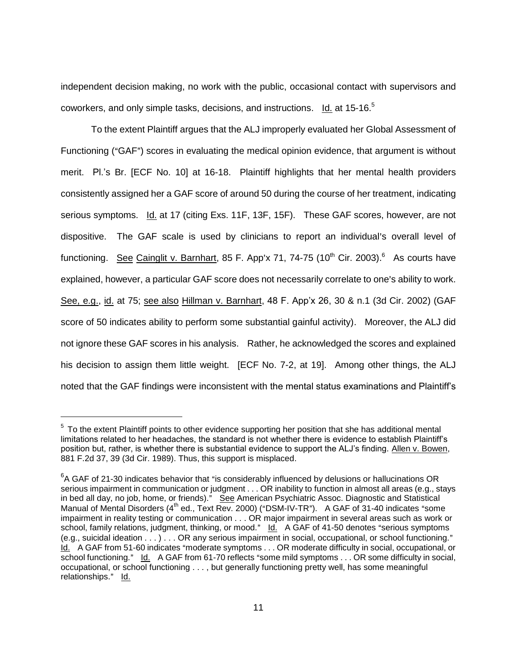independent decision making, no work with the public, occasional contact with supervisors and coworkers, and only simple tasks, decisions, and instructions. Id. at 15-16.<sup>5</sup>

To the extent Plaintiff argues that the ALJ improperly evaluated her Global Assessment of Functioning ("GAF") scores in evaluating the medical opinion evidence, that argument is without merit. Pl.'s Br. [ECF No. 10] at 16-18. Plaintiff highlights that her mental health providers consistently assigned her a GAF score of around 50 during the course of her treatment, indicating serious symptoms. Id. at 17 (citing Exs. 11F, 13F, 15F). These GAF scores, however, are not dispositive. The GAF scale is used by clinicians to report an individual's overall level of functioning. See Cainglit v. Barnhart, 85 F. App'x 71, 74-75 (10<sup>th</sup> Cir. 2003).<sup>6</sup> As courts have explained, however, a particular GAF score does not necessarily correlate to one's ability to work. See, e.g., id. at 75; see also Hillman v. Barnhart, 48 F. App'x 26, 30 & n.1 (3d Cir. 2002) (GAF score of 50 indicates ability to perform some substantial gainful activity). Moreover, the ALJ did not ignore these GAF scores in his analysis. Rather, he acknowledged the scores and explained his decision to assign them little weight. [ECF No. 7-2, at 19]. Among other things, the ALJ noted that the GAF findings were inconsistent with the mental status examinations and Plaintiff's

 $\overline{a}$ 

 $5$  To the extent Plaintiff points to other evidence supporting her position that she has additional mental limitations related to her headaches, the standard is not whether there is evidence to establish Plaintiff's position but, rather, is whether there is substantial evidence to support the ALJ's finding. Allen v. Bowen, 881 F.2d 37, 39 (3d Cir. 1989). Thus, this support is misplaced.

 ${}^{6}$ A GAF of 21-30 indicates behavior that "is considerably influenced by delusions or hallucinations OR serious impairment in communication or judgment . . . OR inability to function in almost all areas (e.g., stays in bed all day, no job, home, or friends)." See American Psychiatric Assoc. Diagnostic and Statistical Manual of Mental Disorders (4<sup>th</sup> ed., Text Rev. 2000) ("DSM-IV-TR"). A GAF of 31-40 indicates "some impairment in reality testing or communication . . . OR major impairment in several areas such as work or school, family relations, judgment, thinking, or mood." Id. A GAF of 41-50 denotes "serious symptoms (e.g., suicidal ideation  $\dots$ )  $\dots$  OR any serious impairment in social, occupational, or school functioning." Id. A GAF from 51-60 indicates "moderate symptoms . . . OR moderate difficulty in social, occupational, or school functioning." Id. A GAF from 61-70 reflects "some mild symptoms . . . OR some difficulty in social, occupational, or school functioning . . . , but generally functioning pretty well, has some meaningful relationships." Id.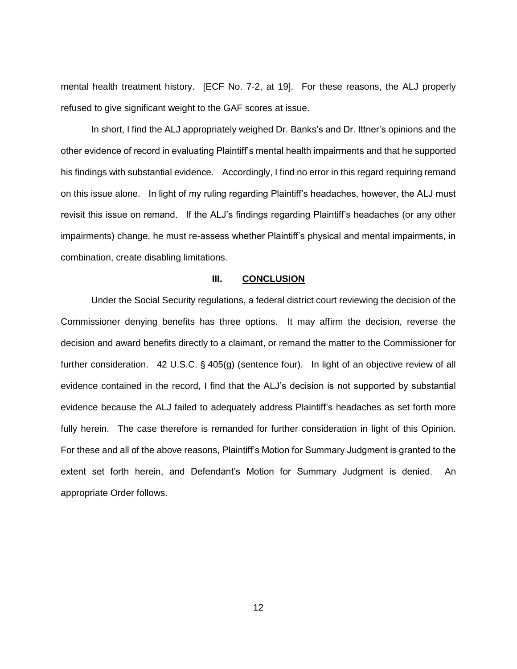mental health treatment history. [ECF No. 7-2, at 19]. For these reasons, the ALJ properly refused to give significant weight to the GAF scores at issue.

In short, I find the ALJ appropriately weighed Dr. Banks's and Dr. Ittner's opinions and the other evidence of record in evaluating Plaintiff's mental health impairments and that he supported his findings with substantial evidence. Accordingly, I find no error in this regard requiring remand on this issue alone. In light of my ruling regarding Plaintiff's headaches, however, the ALJ must revisit this issue on remand. If the ALJ's findings regarding Plaintiff's headaches (or any other impairments) change, he must re-assess whether Plaintiff's physical and mental impairments, in combination, create disabling limitations.

#### **III. CONCLUSION**

Under the Social Security regulations, a federal district court reviewing the decision of the Commissioner denying benefits has three options. It may affirm the decision, reverse the decision and award benefits directly to a claimant, or remand the matter to the Commissioner for further consideration. 42 U.S.C.  $\S$  405(g) (sentence four). In light of an objective review of all evidence contained in the record, I find that the ALJ's decision is not supported by substantial evidence because the ALJ failed to adequately address Plaintiff's headaches as set forth more fully herein. The case therefore is remanded for further consideration in light of this Opinion. For these and all of the above reasons, Plaintiff's Motion for Summary Judgment is granted to the extent set forth herein, and Defendant's Motion for Summary Judgment is denied. An appropriate Order follows.